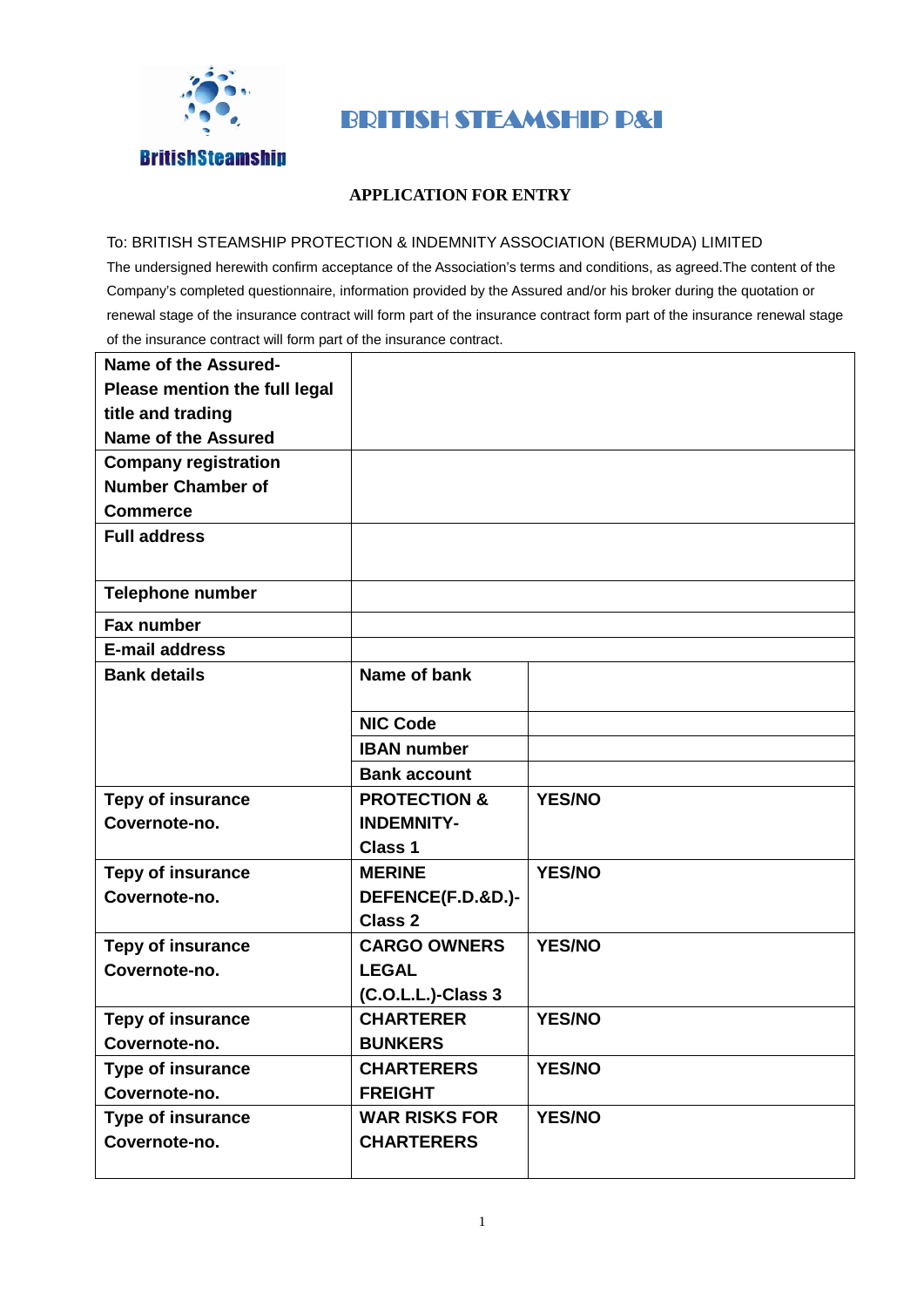

## BRITISH STEAMSHIP P&I

## **APPLICATION FOR ENTRY**

## To: BRITISH STEAMSHIP PROTECTION & INDEMNITY ASSOCIATION (BERMUDA) LIMITED

The undersigned herewith confirm acceptance of the Association's terms and conditions, as agreed.The content of the Company's completed questionnaire, information provided by the Assured and/or his broker during the quotation or renewal stage of the insurance contract will form part of the insurance contract form part of the insurance renewal stage of the insurance contract will form part of the insurance contract.

| <b>Name of the Assured-</b>   |                         |               |
|-------------------------------|-------------------------|---------------|
| Please mention the full legal |                         |               |
| title and trading             |                         |               |
| <b>Name of the Assured</b>    |                         |               |
| <b>Company registration</b>   |                         |               |
| <b>Number Chamber of</b>      |                         |               |
| <b>Commerce</b>               |                         |               |
| <b>Full address</b>           |                         |               |
|                               |                         |               |
| <b>Telephone number</b>       |                         |               |
| <b>Fax number</b>             |                         |               |
| <b>E-mail address</b>         |                         |               |
| <b>Bank details</b>           | Name of bank            |               |
|                               |                         |               |
|                               | <b>NIC Code</b>         |               |
|                               | <b>IBAN</b> number      |               |
|                               | <b>Bank account</b>     |               |
| <b>Tepy of insurance</b>      | <b>PROTECTION &amp;</b> | <b>YES/NO</b> |
| Covernote-no.                 | <b>INDEMNITY-</b>       |               |
|                               | <b>Class 1</b>          |               |
| <b>Tepy of insurance</b>      | <b>MERINE</b>           | <b>YES/NO</b> |
| Covernote-no.                 | DEFENCE(F.D.&D.)-       |               |
|                               | <b>Class 2</b>          |               |
| <b>Tepy of insurance</b>      | <b>CARGO OWNERS</b>     | <b>YES/NO</b> |
| Covernote-no.                 | <b>LEGAL</b>            |               |
|                               | (C.O.L.L.)-Class 3      |               |
| <b>Tepy of insurance</b>      | <b>CHARTERER</b>        | <b>YES/NO</b> |
| Covernote-no.                 | <b>BUNKERS</b>          |               |
| <b>Type of insurance</b>      | <b>CHARTERERS</b>       | <b>YES/NO</b> |
| Covernote-no.                 | <b>FREIGHT</b>          |               |
| Type of insurance             | <b>WAR RISKS FOR</b>    | <b>YES/NO</b> |
| Covernote-no.                 | <b>CHARTERERS</b>       |               |
|                               |                         |               |